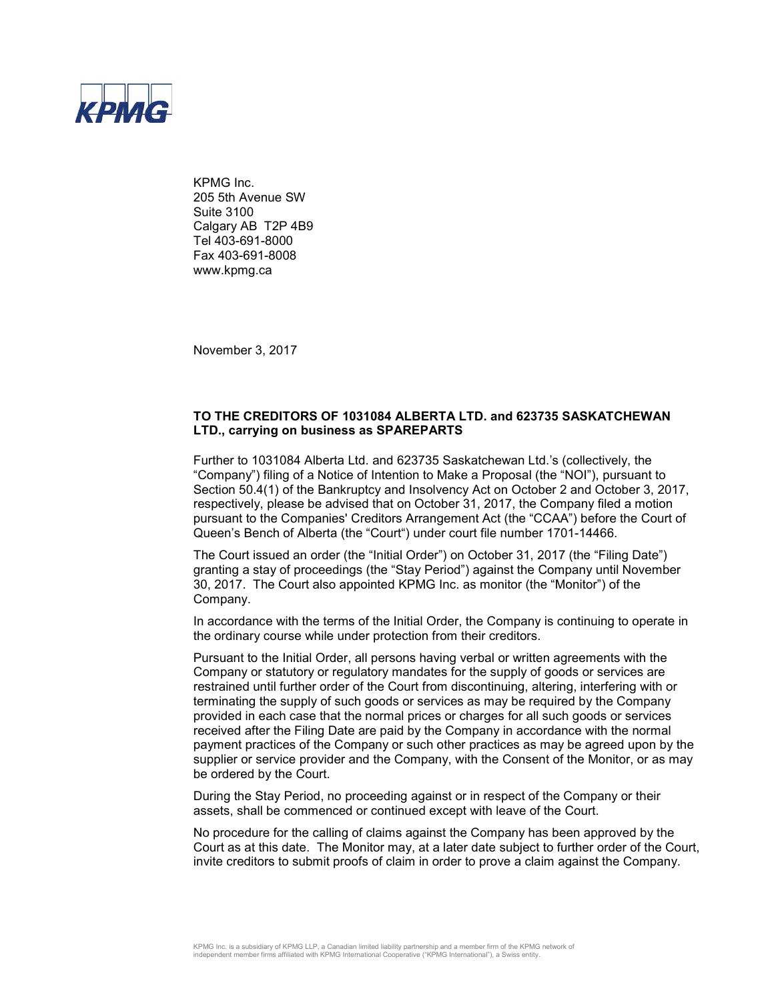

KPMG Inc. 205 5th Avenue SW Suite 3100 Calgary AB T2P 4B9 Tel 403-691-8000 Fax 403-691-8008 www.kpmg.ca

November 3, 2017

## **TO THE CREDITORS OF 1031084 ALBERTA LTD. and 623735 SASKATCHEWAN LTD., carrying on business as SPAREPARTS**

Further to 1031084 Alberta Ltd. and 623735 Saskatchewan Ltd.'s (collectively, the "Company") filing of a Notice of Intention to Make a Proposal (the "NOI"), pursuant to Section 50.4(1) of the Bankruptcy and Insolvency Act on October 2 and October 3, 2017, respectively, please be advised that on October 31, 2017, the Company filed a motion pursuant to the Companies' Creditors Arrangement Act (the "CCAA") before the Court of Queen's Bench of Alberta (the "Court") under court file number 1701-14466.

The Court issued an order (the "Initial Order") on October 31, 2017 (the "Filing Date") granting a stay of proceedings (the "Stay Period") against the Company until November 30, 2017. The Court also appointed KPMG Inc. as monitor (the "Monitor") of the Company.

In accordance with the terms of the Initial Order, the Company is continuing to operate in the ordinary course while under protection from their creditors.

Pursuant to the Initial Order, all persons having verbal or written agreements with the Company or statutory or regulatory mandates for the supply of goods or services are restrained until further order of the Court from discontinuing, altering, interfering with or terminating the supply of such goods or services as may be required by the Company provided in each case that the normal prices or charges for all such goods or services received after the Filing Date are paid by the Company in accordance with the normal payment practices of the Company or such other practices as may be agreed upon by the supplier or service provider and the Company, with the Consent of the Monitor, or as may be ordered by the Court.

During the Stay Period, no proceeding against or in respect of the Company or their assets, shall be commenced or continued except with leave of the Court.

No procedure for the calling of claims against the Company has been approved by the Court as at this date. The Monitor may, at a later date subject to further order of the Court, invite creditors to submit proofs of claim in order to prove a claim against the Company.